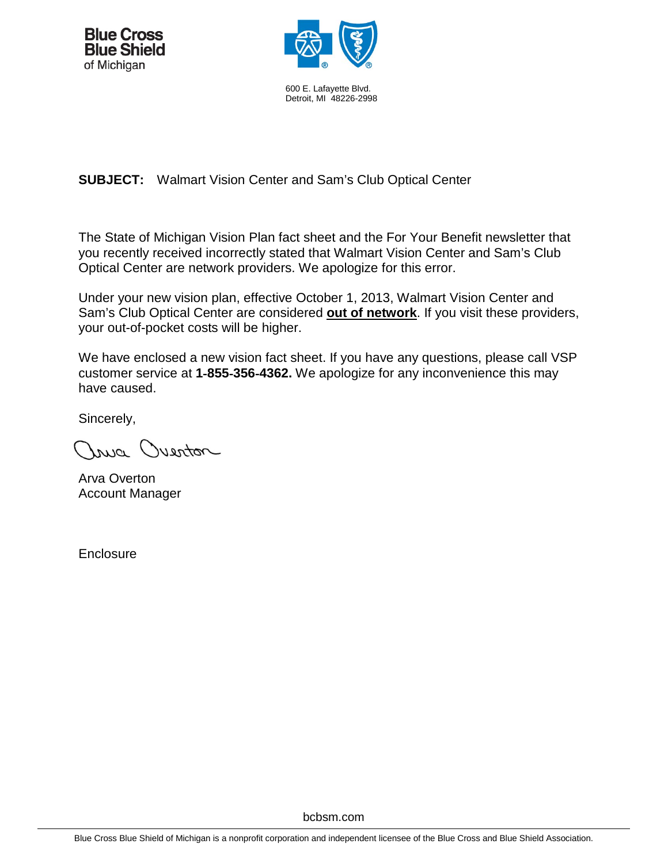



600 E. Lafayette Blvd. Detroit, MI 48226-2998

# **SUBJECT:** Walmart Vision Center and Sam's Club Optical Center

The State of Michigan Vision Plan fact sheet and the For Your Benefit newsletter that you recently received incorrectly stated that Walmart Vision Center and Sam's Club Optical Center are network providers. We apologize for this error.

Under your new vision plan, effective October 1, 2013, Walmart Vision Center and Sam's Club Optical Center are considered **out of network**. If you visit these providers, your out-of-pocket costs will be higher.

We have enclosed a new vision fact sheet. If you have any questions, please call VSP customer service at **1**‐**855**‐**356**‐**4362.** We apologize for any inconvenience this may have caused.

Sincerely,

Injo Quenton

Arva Overton Account Manager

**Enclosure**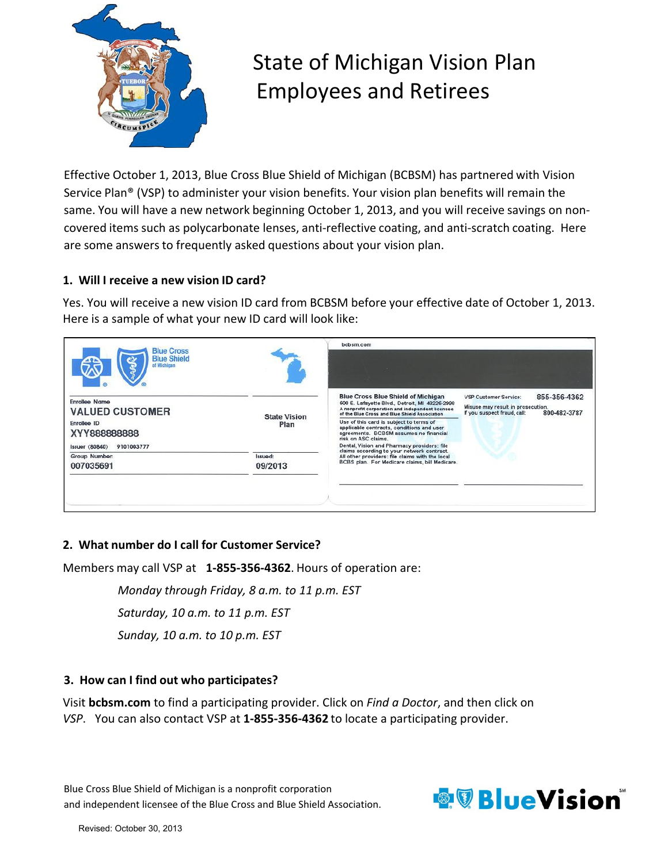

# State of Michigan Vision Plan Employees and Retirees

Effective October 1, 2013, Blue Cross Blue Shield of Michigan (BCBSM) has partnered with Vision Service Plan® (VSP) to administer your vision benefits. Your vision plan benefits will remain the same. You will have a new network beginning October 1, 2013, and you will receive savings on non‐ covered items such as polycarbonate lenses, anti‐reflective coating, and anti‐scratch coating. Here are some answers to frequently asked questions about your vision plan.

# **1. Will I receive a new vision ID card?**

Yes. You will receive a new vision ID card from BCBSM before your effective date of October 1, 2013. Here is a sample of what your new ID card will look like:



# **2. What number do I call for Customer Service?**

Members may call VSP at **1‐855‐356‐4362**. Hours of operation are:

*Monday through Friday, 8 a.m. to 11 p.m. EST*

*Saturday, 10 a.m. to 11 p.m. EST*

*Sunday, 10 a.m. to 10 p.m. EST*

# **3. How can I find out who participates?**

Visit **bcbsm.com** to find a participating provider. Click on *Find a Doctor*, and then click on *VSP*. You can also contact VSP at **1‐855‐356‐4362** to locate a participating provider.

Blue Cross Blue Shield of Michigan is a nonprofit corporation and independent licensee of the Blue Cross and Blue Shield Association.

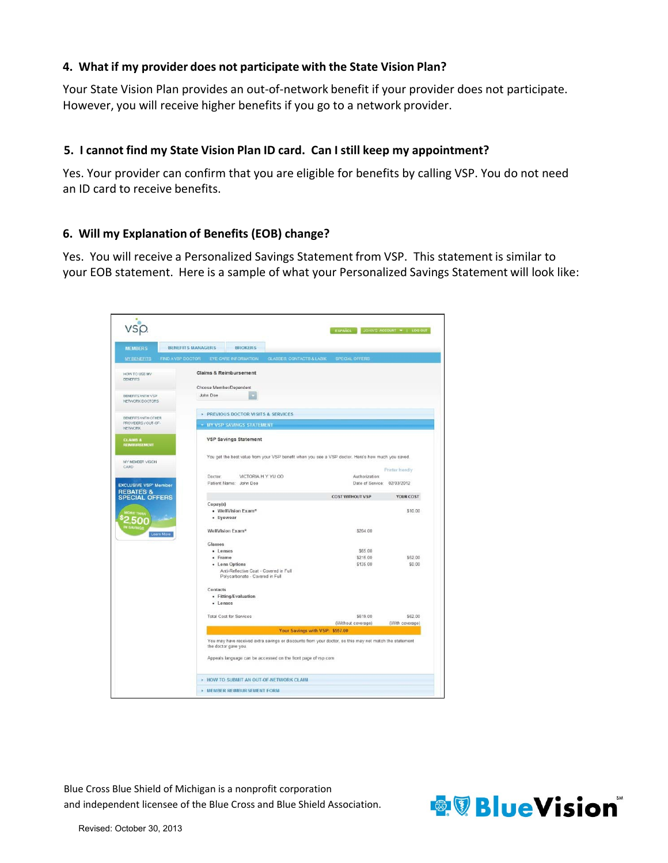#### **4. What if my provider does not participate with the State Vision Plan?**

Your State Vision Plan provides an out‐of‐network benefit if your provider does not participate. However, you will receive higher benefits if you go to a network provider.

#### **5. I cannot find my State Vision Plan ID card. Can I still keep my appointment?**

Yes. Your provider can confirm that you are eligible for benefits by calling VSP. You do not need an ID card to receive benefits.

#### **6. Will my Explanation of Benefits (EOB) change?**

Yes. You will receive a Personalized Savings Statement from VSP. This statement is similar to your EOB statement. Here is a sample of what your Personalized Savings Statement will look like:



Blue Cross Blue Shield of Michigan is a nonprofit corporation and independent licensee of the Blue Cross and Blue Shield Association.